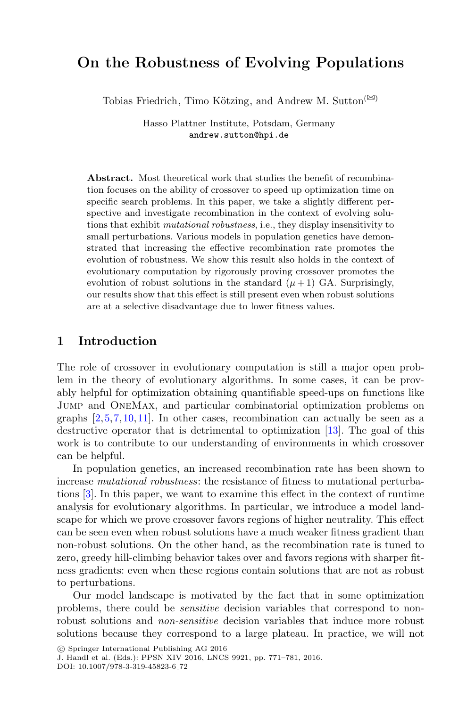# **On the Robustness of Evolving Populations**

Tobias Friedrich, Timo Kötzing, and Andrew M. Sutton<sup>( $\boxtimes$ )</sup>

Hasso Plattner Institute, Potsdam, Germany andrew.sutton@hpi.de

**Abstract.** Most theoretical work that studies the benefit of recombination focuses on the ability of crossover to speed up optimization time on specific search problems. In this paper, we take a slightly different perspective and investigate recombination in the context of evolving solutions that exhibit *mutational robustness*, i.e., they display insensitivity to small perturbations. Various models in population genetics have demonstrated that increasing the effective recombination rate promotes the evolution of robustness. We show this result also holds in the context of evolutionary computation by rigorously proving crossover promotes the evolution of robust solutions in the standard  $(\mu + 1)$  GA. Surprisingly, our results show that this effect is still present even when robust solutions are at a selective disadvantage due to lower fitness values.

## **1 Introduction**

The role of crossover in evolutionary computation is still a major open problem in the theory of evolutionary algorithms. In some cases, it can be provably helpful for optimization obtaining quantifiable speed-ups on functions like Jump and OneMax, and particular combinatorial optimization problems on graphs  $[2,5,7,10,11]$  $[2,5,7,10,11]$  $[2,5,7,10,11]$  $[2,5,7,10,11]$  $[2,5,7,10,11]$  $[2,5,7,10,11]$ . In other cases, recombination can actually be seen as a destructive operator that is detrimental to optimization [\[13](#page-10-2)]. The goal of this work is to contribute to our understanding of environments in which crossover can be helpful.

In population genetics, an increased recombination rate has been shown to increase *mutational robustness*: the resistance of fitness to mutational perturbations [\[3\]](#page-9-3). In this paper, we want to examine this effect in the context of runtime analysis for evolutionary algorithms. In particular, we introduce a model landscape for which we prove crossover favors regions of higher neutrality. This effect can be seen even when robust solutions have a much weaker fitness gradient than non-robust solutions. On the other hand, as the recombination rate is tuned to zero, greedy hill-climbing behavior takes over and favors regions with sharper fitness gradients: even when these regions contain solutions that are not as robust to perturbations.

Our model landscape is motivated by the fact that in some optimization problems, there could be *sensitive* decision variables that correspond to nonrobust solutions and *non-sensitive* decision variables that induce more robust solutions because they correspond to a large plateau. In practice, we will not

J. Handl et al. (Eds.): PPSN XIV 2016, LNCS 9921, pp. 771–781, 2016. DOI: 10.1007/978-3-319-45823-6 72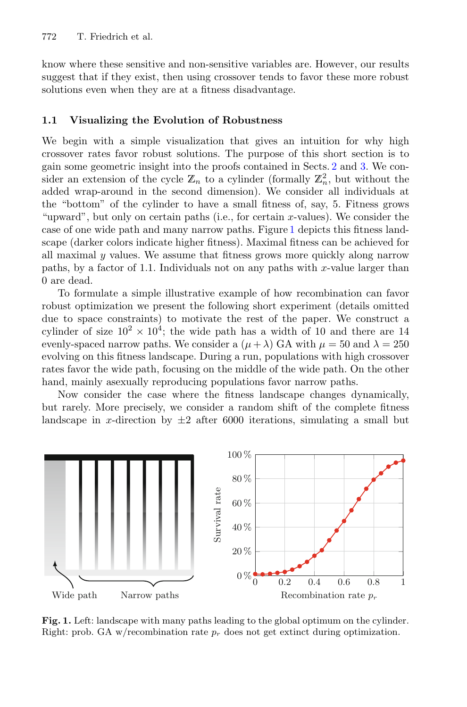know where these sensitive and non-sensitive variables are. However, our results suggest that if they exist, then using crossover tends to favor these more robust solutions even when they are at a fitness disadvantage.

## <span id="page-1-1"></span>**1.1 Visualizing the Evolution of Robustness**

We begin with a simple visualization that gives an intuition for why high crossover rates favor robust solutions. The purpose of this short section is to gain some geometric insight into the proofs contained in Sects. [2](#page-2-0) and [3.](#page-4-0) We consider an extension of the cycle  $\mathbb{Z}_n$  to a cylinder (formally  $\mathbb{Z}_n^2$ , but without the added wrap-around in the second dimension). We consider all individuals at the "bottom" of the cylinder to have a small fitness of, say, 5. Fitness grows "upward", but only on certain paths (i.e., for certain x-values). We consider the case of one wide path and many narrow paths. Figure [1](#page-1-0) depicts this fitness landscape (darker colors indicate higher fitness). Maximal fitness can be achieved for all maximal  $y$  values. We assume that fitness grows more quickly along narrow paths, by a factor of 1.1. Individuals not on any paths with x-value larger than 0 are dead.

To formulate a simple illustrative example of how recombination can favor robust optimization we present the following short experiment (details omitted due to space constraints) to motivate the rest of the paper. We construct a cylinder of size  $10^2 \times 10^4$ ; the wide path has a width of 10 and there are 14 evenly-spaced narrow paths. We consider a  $(\mu + \lambda)$  GA with  $\mu = 50$  and  $\lambda = 250$ evolving on this fitness landscape. During a run, populations with high crossover rates favor the wide path, focusing on the middle of the wide path. On the other hand, mainly asexually reproducing populations favor narrow paths.

Now consider the case where the fitness landscape changes dynamically, but rarely. More precisely, we consider a random shift of the complete fitness landscape in x-direction by  $\pm 2$  after 6000 iterations, simulating a small but



<span id="page-1-0"></span>**Fig. 1.** Left: landscape with many paths leading to the global optimum on the cylinder. Right: prob. GA w/recombination rate  $p_r$  does not get extinct during optimization.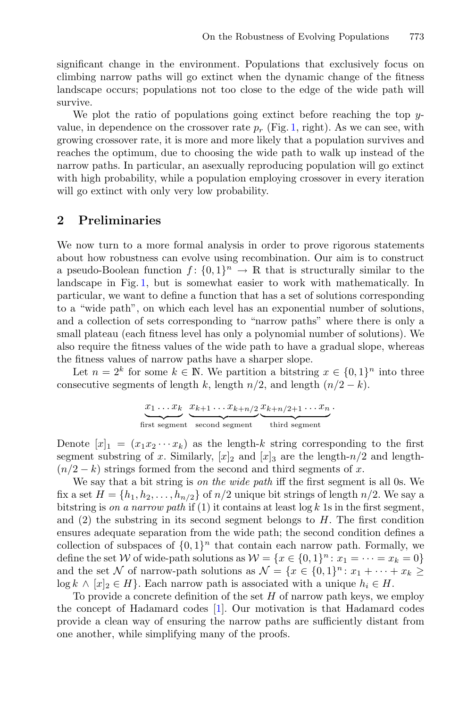significant change in the environment. Populations that exclusively focus on climbing narrow paths will go extinct when the dynamic change of the fitness landscape occurs; populations not too close to the edge of the wide path will survive.

We plot the ratio of populations going extinct before reaching the top  $y$ value, in dependence on the crossover rate  $p_r$  (Fig. [1,](#page-1-0) right). As we can see, with growing crossover rate, it is more and more likely that a population survives and reaches the optimum, due to choosing the wide path to walk up instead of the narrow paths. In particular, an asexually reproducing population will go extinct with high probability, while a population employing crossover in every iteration will go extinct with only very low probability.

## <span id="page-2-0"></span>**2 Preliminaries**

We now turn to a more formal analysis in order to prove rigorous statements about how robustness can evolve using recombination. Our aim is to construct a pseudo-Boolean function  $f: \{0,1\}^n \to \mathbb{R}$  that is structurally similar to the landscape in Fig. [1,](#page-1-0) but is somewhat easier to work with mathematically. In particular, we want to define a function that has a set of solutions corresponding to a "wide path", on which each level has an exponential number of solutions, and a collection of sets corresponding to "narrow paths" where there is only a small plateau (each fitness level has only a polynomial number of solutions). We also require the fitness values of the wide path to have a gradual slope, whereas the fitness values of narrow paths have a sharper slope.

Let  $n = 2^k$  for some  $k \in \mathbb{N}$ . We partition a bitstring  $x \in \{0,1\}^n$  into three consecutive segments of length k, length  $n/2$ , and length  $(n/2 - k)$ .

$$
\underbrace{x_1 \dots x_k}_{\text{first segment}} \underbrace{x_{k+1} \dots x_{k+n/2}}_{\text{second segment}} \underbrace{x_{k+n/2+1} \dots x_n}_{\text{third segment}}.
$$

Denote  $[x]_1 = (x_1 x_2 \cdots x_k)$  as the length-k string corresponding to the first segment substring of x. Similarly,  $[x]_2$  and  $[x]_3$  are the length- $n/2$  and length- $(n/2 - k)$  strings formed from the second and third segments of x.

We say that a bit string is *on the wide path* iff the first segment is all 0s. We fix a set  $H = \{h_1, h_2, \ldots, h_{n/2}\}\$  of  $n/2$  unique bit strings of length  $n/2$ . We say a bitstring is *on a narrow path* if (1) it contains at least log k 1s in the first segment, and  $(2)$  the substring in its second segment belongs to H. The first condition ensures adequate separation from the wide path; the second condition defines a collection of subspaces of  $\{0,1\}^n$  that contain each narrow path. Formally, we define the set W of wide-path solutions as  $W = \{x \in \{0,1\}^n : x_1 = \cdots = x_k = 0\}$ and the set N of narrow-path solutions as  $\mathcal{N} = \{x \in \{0,1\}^n : x_1 + \cdots + x_k \geq 1\}$  $\log k \wedge [x]_2 \in H$ . Each narrow path is associated with a unique  $h_i \in H$ .

To provide a concrete definition of the set  $H$  of narrow path keys, we employ the concept of Hadamard codes [\[1](#page-9-4)]. Our motivation is that Hadamard codes provide a clean way of ensuring the narrow paths are sufficiently distant from one another, while simplifying many of the proofs.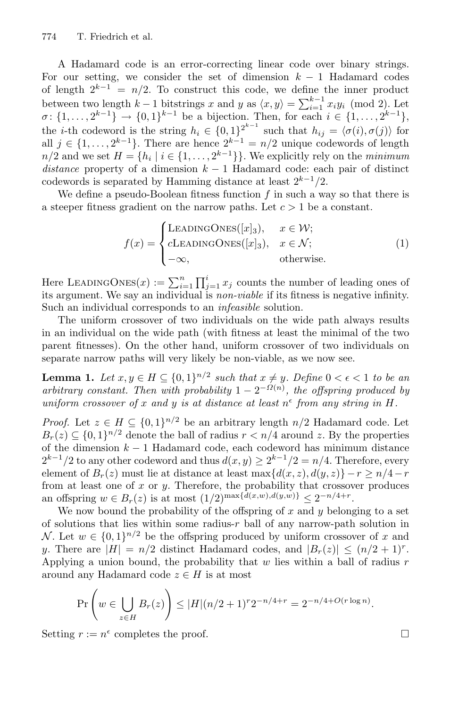A Hadamard code is an error-correcting linear code over binary strings. For our setting, we consider the set of dimension  $k - 1$  Hadamard codes of length  $2^{k-1} = n/2$ . To construct this code, we define the inner product between two length k – 1 bitstrings x and y as  $\langle x, y \rangle = \sum_{i=1}^{k-1} x_i y_i \pmod{2}$ . Let  $\sigma: \{1, \ldots, 2^{k-1}\} \to \{0, 1\}^{k-1}$  be a bijection. Then, for each  $i \in \{1, \ldots, 2^{k-1}\},$ the *i*-th codeword is the string  $h_i \in \{0,1\}^{2^{k-1}}$  such that  $h_{ij} = \langle \sigma(i), \sigma(j) \rangle$  for all  $j \in \{1, \ldots, 2^{k-1}\}$ . There are hence  $2^{k-1} = n/2$  unique codewords of length  $n/2$  and we set  $H = \{h_i \mid i \in \{1, \ldots, 2^{k-1}\}\}\.$  We explicitly rely on the *minimum distance* property of a dimension  $k - 1$  Hadamard code: each pair of distinct codewords is separated by Hamming distance at least  $2^{k-1}/2$ .

<span id="page-3-1"></span>We define a pseudo-Boolean fitness function  $f$  in such a way so that there is a steeper fitness gradient on the narrow paths. Let  $c > 1$  be a constant.  $\mathbb{Z}$ 

$$
f(x) = \begin{cases} \text{LEADINGONES}([x]_3), & x \in \mathcal{W}; \\ c \text{LEADINGONES}([x]_3), & x \in \mathcal{N}; \\ -\infty, & \text{otherwise.} \end{cases}
$$
 (1)

Here LEADINGONES $(x) := \sum_{i=1}^{n}$  $\mathbf{u}$  $j=1 \; x_j$  counts the number of leading ones of its argument. We say an individual is *non-viable* if its fitness is negative infinity. Such an individual corresponds to an *infeasible* solution.

The uniform crossover of two individuals on the wide path always results in an individual on the wide path (with fitness at least the minimal of the two parent fitnesses). On the other hand, uniform crossover of two individuals on separate narrow paths will very likely be non-viable, as we now see.

<span id="page-3-0"></span>**Lemma 1.** *Let*  $x, y \in H \subseteq \{0, 1\}^{n/2}$  *such that*  $x \neq y$ *. Define*  $0 < \epsilon < 1$  *to be an arbitrary constant. Then with probability*  $1 - 2^{-\Omega(n)}$  *the offspring produced by arbitrary constant. Then with probability*  $1 - 2^{-\Omega(n)}$ , the offspring produced by *uniform crossover of* x and y *is at distance at least*  $n^{\epsilon}$  *from any string in* H.

*Proof.* Let  $z \in H \subseteq \{0,1\}^{n/2}$  be an arbitrary length  $n/2$  Hadamard code. Let  $B_r(z) \subseteq \{0,1\}^{n/2}$  denote the ball of radius  $r \leq n/4$  around z. By the properties of the dimension  $k - 1$  Hadamard code, each codeword has minimum distance  $2^{k-1}/2$  to any other codeword and thus  $d(x, y) \geq 2^{k-1}/2 = n/4$ . Therefore, every element of  $B_r(z)$  must lie at distance at least max $\{d(x, z), d(y, z)\} - r \ge n/4 - r$ from at least one of x or y. Therefore, the probability that crossover produces an offspring  $w \in B_r(z)$  is at most  $(1/2)^{\max\{d(x,w),d(y,w)\}} < 2^{-n/4+r}$ .

We now bound the probability of the offspring of x and y belonging to a set of solutions that lies within some radius- $r$  ball of any narrow-path solution in N. Let  $w \in \{0,1\}^{n/2}$  be the offspring produced by uniform crossover of x and y. There are  $|H| = n/2$  distinct Hadamard codes, and  $|B_r(z)| \leq (n/2 + 1)^r$ . Applying a union bound, the probability that  $w$  lies within a ball of radius  $r$ around any Hadamard code  $z \in H$  is at most

$$
\Pr\left(w \in \bigcup_{z \in H} B_r(z)\right) \le |H|(n/2+1)^r 2^{-n/4+r} = 2^{-n/4+O(r\log n)}.
$$

Setting  $r := n^{\epsilon}$  completes the proof.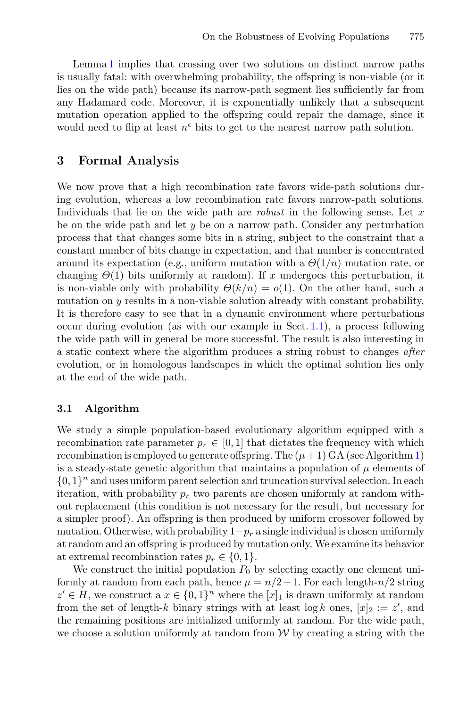Lemma [1](#page-3-0) implies that crossing over two solutions on distinct narrow paths is usually fatal: with overwhelming probability, the offspring is non-viable (or it lies on the wide path) because its narrow-path segment lies sufficiently far from any Hadamard code. Moreover, it is exponentially unlikely that a subsequent mutation operation applied to the offspring could repair the damage, since it would need to flip at least  $n^{\epsilon}$  bits to get to the nearest narrow path solution.

## <span id="page-4-0"></span>**3 Formal Analysis**

We now prove that a high recombination rate favors wide-path solutions during evolution, whereas a low recombination rate favors narrow-path solutions. Individuals that lie on the wide path are *robust* in the following sense. Let x be on the wide path and let  $y$  be on a narrow path. Consider any perturbation process that that changes some bits in a string, subject to the constraint that a constant number of bits change in expectation, and that number is concentrated around its expectation (e.g., uniform mutation with a  $\Theta(1/n)$  mutation rate, or changing  $\Theta(1)$  bits uniformly at random). If x undergoes this perturbation, it is non-viable only with probability  $\Theta(k/n) = o(1)$ . On the other hand, such a mutation on y results in a non-viable solution already with constant probability. It is therefore easy to see that in a dynamic environment where perturbations occur during evolution (as with our example in Sect. [1.1\)](#page-1-1), a process following the wide path will in general be more successful. The result is also interesting in a static context where the algorithm produces a string robust to changes *after* evolution, or in homologous landscapes in which the optimal solution lies only at the end of the wide path.

# **3.1 Algorithm**

We study a simple population-based evolutionary algorithm equipped with a recombination rate parameter  $p_r \in [0, 1]$  that dictates the frequency with which recombination is employed to generate offspring. The  $(\mu + 1)$  $(\mu + 1)$  GA (see Algorithm 1) is a steady-state genetic algorithm that maintains a population of  $\mu$  elements of  $\{0,1\}^n$  and uses uniform parent selection and truncation survival selection. In each iteration, with probability  $p_r$  two parents are chosen uniformly at random without replacement (this condition is not necessary for the result, but necessary for a simpler proof). An offspring is then produced by uniform crossover followed by mutation. Otherwise, with probability  $1-p<sub>r</sub>$  a single individual is chosen uniformly at random and an offspring is produced by mutation only. We examine its behavior at extremal recombination rates  $p_r \in \{0, 1\}.$ 

We construct the initial population  $P_0$  by selecting exactly one element uniformly at random from each path, hence  $\mu = n/2+1$ . For each length- $n/2$  string  $z' \in H$ , we construct a  $x \in \{0,1\}^n$  where the  $[x]_1$  is drawn uniformly at random from the set of length-k binary strings with at least  $log k$  ones,  $[x]_2 := z'$ , and the remaining positions are initialized uniformly at random. For the wide path, we choose a solution uniformly at random from  $\mathcal W$  by creating a string with the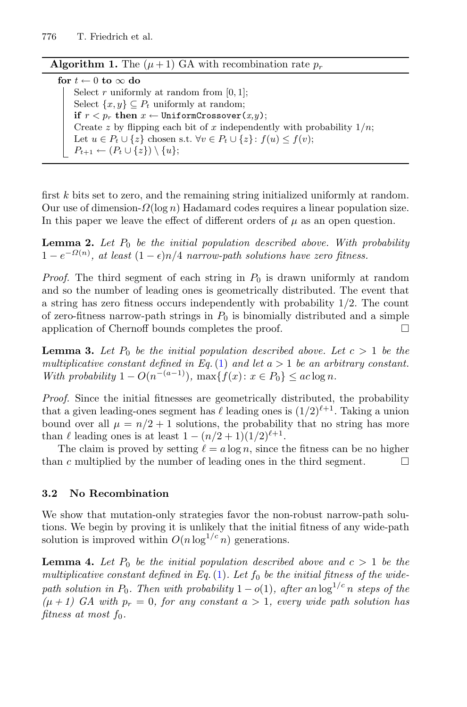## **Algorithm 1.** The  $(\mu + 1)$  GA with recombination rate  $p_r$

**for**  $t \leftarrow 0$  **to**  $\infty$  **do** Select *r* uniformly at random from [0*,* 1]; Select  $\{x, y\} \subseteq P_t$  uniformly at random; **if**  $r < p_r$  **then**  $x \leftarrow$  UniformCrossover(*x,y*); Create *z* by flipping each bit of *x* independently with probability  $1/n$ ; Let *u* ∈ *P*<sup>*t*</sup> ∪ {*z*} chosen s.t.  $\forall v \in P$ *t* ∪ {*z*}: *f*(*u*) ≤ *f*(*v*);  $P_{t+1} \leftarrow (P_t \cup \{z\}) \setminus \{u\};$ 

<span id="page-5-0"></span>first k bits set to zero, and the remaining string initialized uniformly at random. Our use of dimension- $\Omega(\log n)$  Hadamard codes requires a linear population size. In this paper we leave the effect of different orders of  $\mu$  as an open question.

<span id="page-5-2"></span>**Lemma 2.** Let  $P_0$  be the initial population described above. With probability  $1 - e^{-\Omega(n)}$ , at least  $(1 - \epsilon)n/4$  *narrow-path solutions have zero fitness.* 

*Proof.* The third segment of each string in  $P_0$  is drawn uniformly at random and so the number of leading ones is geometrically distributed. The event that a string has zero fitness occurs independently with probability 1/2. The count of zero-fitness narrow-path strings in  $P_0$  is binomially distributed and a simple application of Chernoff bounds completes the proof.  $\Box$ 

<span id="page-5-3"></span>**Lemma 3.** Let  $P_0$  be the initial population described above. Let  $c > 1$  be the *multiplicative constant defined in Eq.*[\(1\)](#page-3-1) *and let* a > 1 *be an arbitrary constant. With probability*  $1 - O(n^{-(a-1)})$ *,*  $\max\{f(x): x \in P_0\} \leq ac \log n$ *.* 

*Proof.* Since the initial fitnesses are geometrically distributed, the probability that a given leading-ones segment has  $\ell$  leading ones is  $(1/2)^{\ell+1}$ . Taking a union bound over all  $\mu = n/2 + 1$  solutions, the probability that no string has more than  $\ell$  leading ones is at least  $1 - (n/2 + 1)(1/2)^{\ell+1}$ .

The claim is proved by setting  $\ell = a \log n$ , since the fitness can be no higher than c multiplied by the number of leading ones in the third segment.  $\Box$ 

We show that mutation-only strategies favor the non-robust narrow-path solutions. We begin by proving it is unlikely that the initial fitness of any wide-path solution is improved within  $O(n \log^{1/c} n)$  generations.

<span id="page-5-1"></span>**Lemma 4.** Let  $P_0$  be the initial population described above and  $c > 1$  be the *multiplicative constant defined in Eq.*[\(1\)](#page-3-1)*. Let*  $f_0$  *be the initial fitness of the widepath solution in*  $P_0$ *. Then with probability*  $1 - o(1)$ *, after an*  $\log^{1/c} n$  *steps of the*  $(\mu + 1)$  *GA with*  $p_r = 0$ *, for any constant*  $a > 1$ *, every wide path solution has fitness at most*  $f_0$ .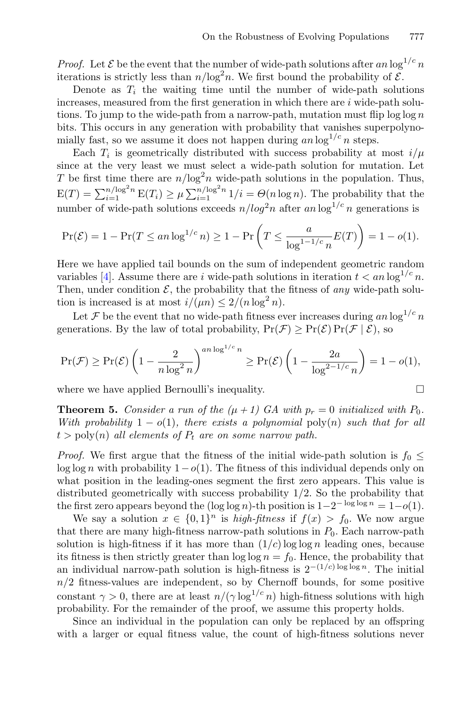*Proof.* Let  $\mathcal E$  be the event that the number of wide-path solutions after an  $\log^{1/c} n$ iterations is strictly less than  $n/\log^2 n$ . We first bound the probability of  $\mathcal{E}$ .

Denote as  $T_i$  the waiting time until the number of wide-path solutions increases, measured from the first generation in which there are  $i$  wide-path solutions. To jump to the wide-path from a narrow-path, mutation must flip  $\log \log n$ bits. This occurs in any generation with probability that vanishes superpolynomially fast, so we assume it does not happen during an  $\log^{1/c} n$  steps.

Each  $T_i$  is geometrically distributed with success probability at most  $i/\mu$ since at the very least we must select a wide-path solution for mutation. Let T be first time there are  $n/\log^2 n$  wide-path solutions in the population. Thus,  $E(T) = \sum_{i=1}^{n/\log^2 n} E(T_i) \ge \mu \sum_{i=1}^{n/\log^2 n} 1/i = \Theta(n \log n)$ . The probability that the number of wide-path solutions exceeds  $n/log^2n$  after an log<sup>1/c</sup> n generations is

$$
\Pr(\mathcal{E}) = 1 - \Pr(T \le an \log^{1/c} n) \ge 1 - \Pr\left(T \le \frac{a}{\log^{1-1/c} n} E(T)\right) = 1 - o(1).
$$

Here we have applied tail bounds on the sum of independent geometric random variables [\[4](#page-9-5)]. Assume there are i wide-path solutions in iteration  $t < an \log^{1/c} n$ . Then, under condition  $\mathcal{E}$ , the probability that the fitness of *any* wide-path solution is increased is at most  $i/(\mu n) \leq 2/(n \log^2 n)$ .

Let F be the event that no wide-path fitness ever increases during an  $\log^{1/c} n$ generations. By the law of total probability,  $Pr(\mathcal{F}) \geq Pr(\mathcal{E}) Pr(\mathcal{F} | \mathcal{E})$ , so

$$
\Pr(\mathcal{F}) \ge \Pr(\mathcal{E}) \left(1 - \frac{2}{n \log^2 n}\right)^{an \log^{1/c} n} \ge \Pr(\mathcal{E}) \left(1 - \frac{2a}{\log^{2-1/c} n}\right) = 1 - o(1),
$$

where we have applied Bernoulli's inequality.  $\Box$ 

**Theorem 5.** *Consider a run of the*  $(\mu + 1)$  *GA with*  $p_r = 0$  *initialized with*  $P_0$ *. With probability*  $1 - o(1)$ *, there exists a polynomial* poly $(n)$  *such that for all*  $t > \text{poly}(n)$  *all elements of*  $P_t$  *are on some narrow path.* 

*Proof.* We first argue that the fitness of the initial wide-path solution is  $f_0 \n\leq$ log log n with probability  $1-o(1)$ . The fitness of this individual depends only on what position in the leading-ones segment the first zero appears. This value is distributed geometrically with success probability 1/2. So the probability that the first zero appears beyond the (log log n)-th position is  $1-2^{-\log \log n} = 1-o(1)$ .

We say a solution  $x \in \{0,1\}^n$  is *high-fitness* if  $f(x) > f_0$ . We now argue that there are many high-fitness narrow-path solutions in  $P_0$ . Each narrow-path solution is high-fitness if it has more than  $(1/c)$  log log n leading ones, because its fitness is then strictly greater than  $\log \log n = f_0$ . Hence, the probability that an individual narrow-path solution is high-fitness is  $2^{-(1/c) \log \log n}$ . The initial  $n/2$  fitness-values are independent, so by Chernoff bounds, for some positive constant  $\gamma > 0$ , there are at least  $n/(\gamma \log^{1/c} n)$  high-fitness solutions with high probability. For the remainder of the proof, we assume this property holds.

Since an individual in the population can only be replaced by an offspring with a larger or equal fitness value, the count of high-fitness solutions never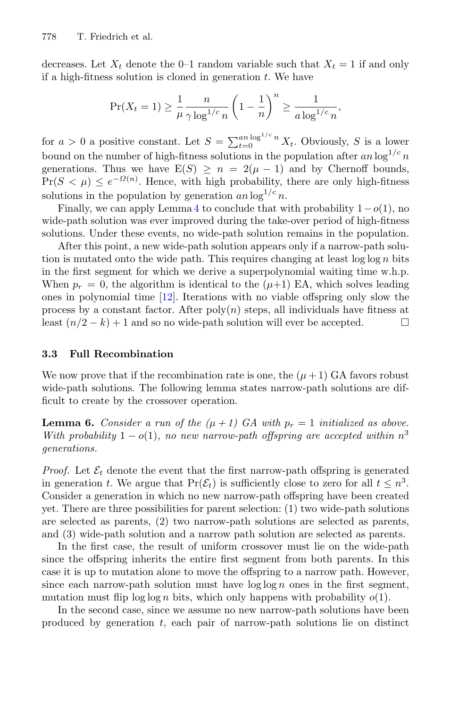decreases. Let  $X_t$  denote the 0–1 random variable such that  $X_t = 1$  if and only if a high-fitness solution is cloned in generation  $t$ . We have

$$
\Pr(X_t = 1) \ge \frac{1}{\mu} \frac{n}{\gamma \log^{1/c} n} \left(1 - \frac{1}{n}\right)^n \ge \frac{1}{a \log^{1/c} n},
$$

for  $a > 0$  a positive constant. Let  $S = \sum_{t=0}^{a n \log^{1/c} n} X_t$ . Obviously, S is a lower bound on the number of high-fitness solutions in the population after an  $\log^{1/c} n$ generations. Thus we have  $E(S) \geq n = 2(\mu - 1)$  and by Chernoff bounds,  $\Pr(S \leq \mu) \leq e^{-\Omega(n)}$ . Hence, with high probability, there are only high-fitness solutions in the population by generation an  $\log^{1/c} n$ .

Finally, we can apply Lemma [4](#page-5-1) to conclude that with probability  $1-o(1)$ , no wide-path solution was ever improved during the take-over period of high-fitness solutions. Under these events, no wide-path solution remains in the population.

After this point, a new wide-path solution appears only if a narrow-path solution is mutated onto the wide path. This requires changing at least  $\log \log n$  bits in the first segment for which we derive a superpolynomial waiting time w.h.p. When  $p_r = 0$ , the algorithm is identical to the  $(\mu+1)$  EA, which solves leading ones in polynomial time [\[12](#page-10-3)]. Iterations with no viable offspring only slow the process by a constant factor. After  $poly(n)$  steps, all individuals have fitness at least  $(n/2 - k) + 1$  and so no wide-path solution will ever be accepted.  $\Box$ 

## 3.3

We now prove that if the recombination rate is one, the  $(\mu + 1)$  GA favors robust wide-path solutions. The following lemma states narrow-path solutions are difficult to create by the crossover operation.

<span id="page-7-0"></span>**Lemma 6.** *Consider a run of the*  $(\mu + 1)$  *GA with*  $p_r = 1$  *initialized as above. With probability*  $1 - o(1)$ *, no new narrow-path offspring are accepted within*  $n<sup>3</sup>$ *generations.*

*Proof.* Let  $\mathcal{E}_t$  denote the event that the first narrow-path offspring is generated in generation t. We argue that  $Pr(\mathcal{E}_t)$  is sufficiently close to zero for all  $t \leq n^3$ . Consider a generation in which no new narrow-path offspring have been created yet. There are three possibilities for parent selection: (1) two wide-path solutions are selected as parents, (2) two narrow-path solutions are selected as parents, and (3) wide-path solution and a narrow path solution are selected as parents.

In the first case, the result of uniform crossover must lie on the wide-path since the offspring inherits the entire first segment from both parents. In this case it is up to mutation alone to move the offspring to a narrow path. However, since each narrow-path solution must have  $\log \log n$  ones in the first segment, mutation must flip  $\log \log n$  bits, which only happens with probability  $o(1)$ .

In the second case, since we assume no new narrow-path solutions have been produced by generation  $t$ , each pair of narrow-path solutions lie on distinct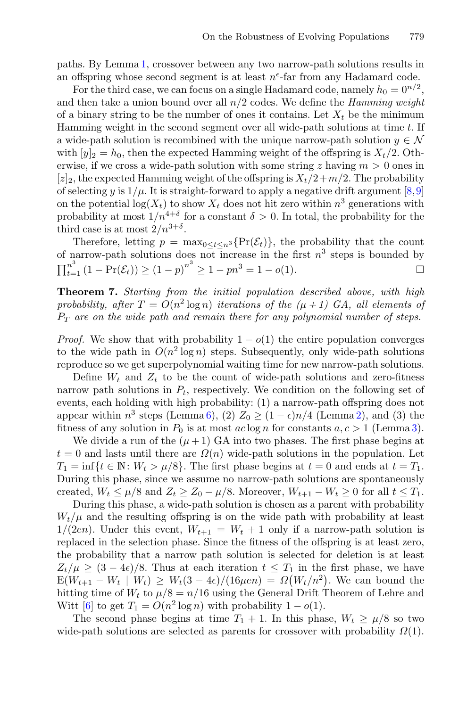paths. By Lemma [1,](#page-3-0) crossover between any two narrow-path solutions results in an offspring whose second segment is at least  $n^{\epsilon}$ -far from any Hadamard code.

For the third case, we can focus on a single Hadamard code, namely  $h_0 = 0^{n/2}$ , and then take a union bound over all n/2 codes. We define the *Hamming weight* of a binary string to be the number of ones it contains. Let  $X_t$  be the minimum Hamming weight in the second segment over all wide-path solutions at time  $t$ . If a wide-path solution is recombined with the unique narrow-path solution  $y \in \mathcal{N}$ with  $[y]_2 = h_0$ , then the expected Hamming weight of the offspring is  $X_t/2$ . Otherwise, if we cross a wide-path solution with some string z having  $m > 0$  ones in  $[z]_2$ , the expected Hamming weight of the offspring is  $X_t/2+m/2$ . The probability of selecting y is  $1/\mu$ . It is straight-forward to apply a negative drift argument [\[8,](#page-9-6)[9\]](#page-9-7) on the potential  $log(X_t)$  to show  $X_t$  does not hit zero within  $n^3$  generations with probability at most  $1/n^{4+\delta}$  for a constant  $\delta > 0$ . In total, the probability for the third case is at most  $2/n^{3+\delta}$ .

Therefore, letting  $p = \max_{0 \le t \le n^3} \{Pr(\mathcal{E}_t)\}\$ , the probability that the count of narrow-path solutions does not increase in the first  $n^3$  steps is bounded by or ii  $t_{t=1}^{n^3} (1 - \Pr(\mathcal{E}_t)) \ge (1 - p)^{n^3} \ge 1 - pn^3 = 1 - o(1).$ 

**Theorem 7.** *Starting from the initial population described above, with high probability, after*  $T = O(n^2 \log n)$  *iterations of the*  $(\mu + 1)$  *GA, all elements of* P<sup>T</sup> *are on the wide path and remain there for any polynomial number of steps.*

*Proof.* We show that with probability  $1 - o(1)$  the entire population converges to the wide path in  $O(n^2 \log n)$  steps. Subsequently, only wide-path solutions reproduce so we get superpolynomial waiting time for new narrow-path solutions.

Define  $W_t$  and  $Z_t$  to be the count of wide-path solutions and zero-fitness narrow path solutions in  $P_t$ , respectively. We condition on the following set of events, each holding with high probability: (1) a narrow-path offspring does not appear within  $n^3$  steps (Lemma [6\)](#page-7-0), ([2\)](#page-5-2)  $Z_0 \ge (1 - \epsilon)n/4$  (Lemma 2), and (3) the fitness of any solution in  $P_0$  is at most  $ac \log n$  for constants  $a, c > 1$  (Lemma [3\)](#page-5-3).

We divide a run of the  $(\mu + 1)$  GA into two phases. The first phase begins at  $t = 0$  and lasts until there are  $\Omega(n)$  wide-path solutions in the population. Let  $T_1 = \inf\{t \in \mathbb{N} : W_t > \mu/8\}$ . The first phase begins at  $t = 0$  and ends at  $t = T_1$ . During this phase, since we assume no narrow-path solutions are spontaneously created,  $W_t \leq \mu/8$  and  $Z_t \geq Z_0 - \mu/8$ . Moreover,  $W_{t+1} - W_t \geq 0$  for all  $t \leq T_1$ .

During this phase, a wide-path solution is chosen as a parent with probability  $W_t/\mu$  and the resulting offspring is on the wide path with probability at least  $1/(2en)$ . Under this event,  $W_{t+1} = W_t + 1$  only if a narrow-path solution is replaced in the selection phase. Since the fitness of the offspring is at least zero, the probability that a narrow path solution is selected for deletion is at least  $Z_t/\mu \geq (3-4\epsilon)/8$ . Thus at each iteration  $t \leq T_1$  in the first phase, we have  $Z_t/\mu \geq (3-4\epsilon)/8$ . Thus at each iteration  $t \leq T_1$  in the first phase, we have  $E(W_{t+1} - W_t \mid W_t) \geq W_t(3-4\epsilon)/(16\mu en) = \Omega(W_t/n^2)$ . We can bound the hitting time of  $W_t$  to  $\mu/8 = n/16$  using the General Drift Theorem of Lehre and Witt  $[6]$  $[6]$  to get  $T_1 = O(n^2 \log n)$  with probability  $1 - o(1)$ .

The second phase begins at time  $T_1 + 1$ . In this phase,  $W_t \geq \mu/8$  so two wide-path solutions are selected as parents for crossover with probability  $\Omega(1)$ .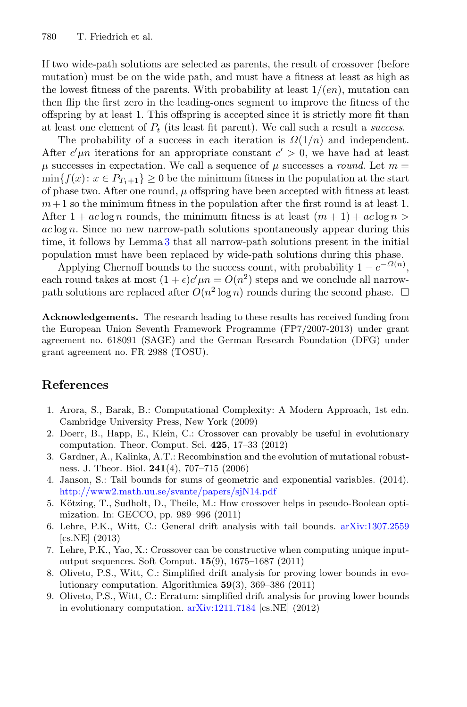If two wide-path solutions are selected as parents, the result of crossover (before mutation) must be on the wide path, and must have a fitness at least as high as the lowest fitness of the parents. With probability at least  $1/(en)$ , mutation can then flip the first zero in the leading-ones segment to improve the fitness of the offspring by at least 1. This offspring is accepted since it is strictly more fit than at least one element of  $P_t$  (its least fit parent). We call such a result a *success*.

The probability of a success in each iteration is  $\Omega(1/n)$  and independent. After  $c' \mu n$  iterations for an appropriate constant  $c' > 0$ , we have had at least  $\mu$  successes in expectation. We call a sequence of  $\mu$  successes a *round*. Let  $m =$  $\min\{f(x): x \in P_{T_1+1}\} \geq 0$  be the minimum fitness in the population at the start of phase two. After one round,  $\mu$  offspring have been accepted with fitness at least  $m+1$  so the minimum fitness in the population after the first round is at least 1. After  $1 + ac \log n$  rounds, the minimum fitness is at least  $(m + 1) + ac \log n$ ac log n. Since no new narrow-path solutions spontaneously appear during this time, it follows by Lemma [3](#page-5-3) that all narrow-path solutions present in the initial population must have been replaced by wide-path solutions during this phase.

Applying Chernoff bounds to the success count, with probability  $1 - e^{-\Omega(n)}$ , each round takes at most  $(1 + \epsilon)c'$   $\mu n = O(n^2)$  steps and we conclude all narrowpath solutions are replaced after  $O(n^2 \log n)$  rounds during the second phase.  $\Box$ 

**Acknowledgements.** The research leading to these results has received funding from the European Union Seventh Framework Programme (FP7/2007-2013) under grant agreement no. 618091 (SAGE) and the German Research Foundation (DFG) under grant agreement no. FR 2988 (TOSU).

# <span id="page-9-4"></span>**References**

- 1. Arora, S., Barak, B.: Computational Complexity: A Modern Approach, 1st edn. Cambridge University Press, New York (2009)
- <span id="page-9-0"></span>2. Doerr, B., Happ, E., Klein, C.: Crossover can provably be useful in evolutionary computation. Theor. Comput. Sci. **425**, 17–33 (2012)
- <span id="page-9-3"></span>3. Gardner, A., Kalinka, A.T.: Recombination and the evolution of mutational robustness. J. Theor. Biol. **241**(4), 707–715 (2006)
- <span id="page-9-5"></span>4. Janson, S.: Tail bounds for sums of geometric and exponential variables. (2014). <http://www2.math.uu.se/svante/papers/sjN14.pdf>
- <span id="page-9-1"></span>5. Kötzing, T., Sudholt, D., Theile, M.: How crossover helps in pseudo-Boolean optimization. In: GECCO, pp. 989–996 (2011)
- <span id="page-9-8"></span>6. Lehre, P.K., Witt, C.: General drift analysis with tail bounds. [arXiv:1307.2559](http://arxiv.org/abs/1307.2559) [cs.NE] (2013)
- <span id="page-9-2"></span>7. Lehre, P.K., Yao, X.: Crossover can be constructive when computing unique inputoutput sequences. Soft Comput. **15**(9), 1675–1687 (2011)
- <span id="page-9-6"></span>8. Oliveto, P.S., Witt, C.: Simplified drift analysis for proving lower bounds in evolutionary computation. Algorithmica **59**(3), 369–386 (2011)
- <span id="page-9-7"></span>9. Oliveto, P.S., Witt, C.: Erratum: simplified drift analysis for proving lower bounds in evolutionary computation. [arXiv:1211.7184](http://arxiv.org/abs/1211.7184) [cs.NE] (2012)